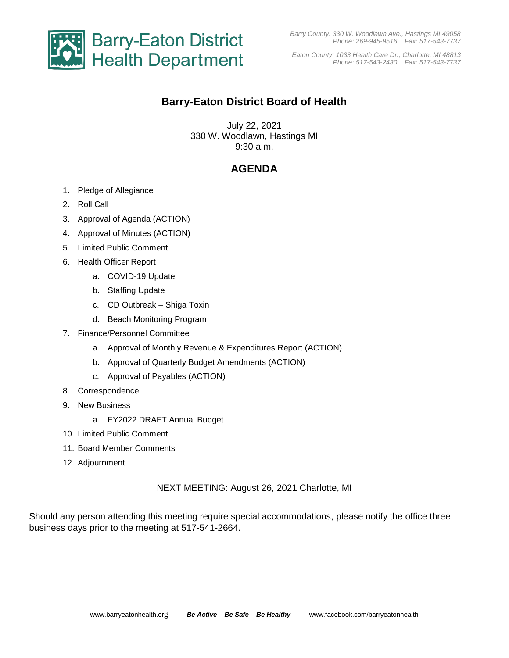

*Eaton County: 1033 Health Care Dr., Charlotte, MI 48813 Phone: 517-543-2430 Fax: 517-543-7737*

# **Barry-Eaton District Board of Health**

July 22, 2021 330 W. Woodlawn, Hastings MI 9:30 a.m.

# **AGENDA**

- 1. Pledge of Allegiance
- 2. Roll Call
- 3. Approval of Agenda (ACTION)
- 4. Approval of Minutes (ACTION)
- 5. Limited Public Comment
- 6. Health Officer Report
	- a. COVID-19 Update
	- b. Staffing Update
	- c. CD Outbreak Shiga Toxin
	- d. Beach Monitoring Program
- 7. Finance/Personnel Committee
	- a. Approval of Monthly Revenue & Expenditures Report (ACTION)
	- b. Approval of Quarterly Budget Amendments (ACTION)
	- c. Approval of Payables (ACTION)
- 8. Correspondence
- 9. New Business
	- a. FY2022 DRAFT Annual Budget
- 10. Limited Public Comment
- 11. Board Member Comments
- 12. Adjournment

NEXT MEETING: August 26, 2021 Charlotte, MI

Should any person attending this meeting require special accommodations, please notify the office three business days prior to the meeting at 517-541-2664.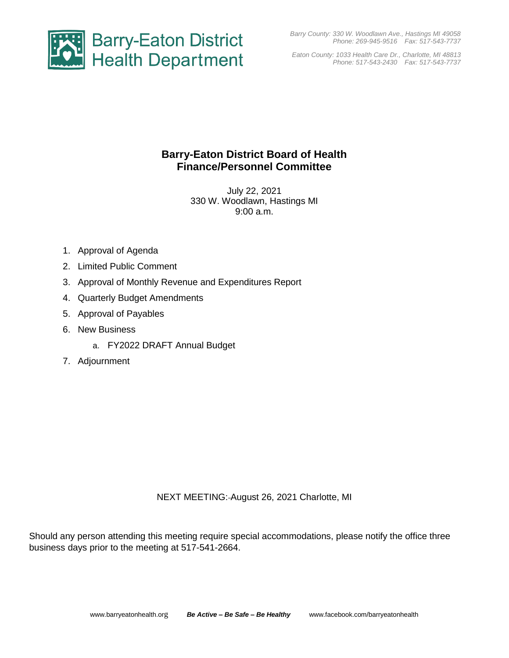*Barry County: 330 W. Woodlawn Ave., Hastings MI 49058 Phone: 269-945-9516 Fax: 517-543-7737*



*Eaton County: 1033 Health Care Dr., Charlotte, MI 48813 Phone: 517-543-2430 Fax: 517-543-7737*

# **Barry-Eaton District Board of Health Finance/Personnel Committee**

July 22, 2021 330 W. Woodlawn, Hastings MI 9:00 a.m.

- 1. Approval of Agenda
- 2. Limited Public Comment
- 3. Approval of Monthly Revenue and Expenditures Report
- 4. Quarterly Budget Amendments
- 5. Approval of Payables
- 6. New Business
	- a. FY2022 DRAFT Annual Budget
- 7. Adjournment

NEXT MEETING: August 26, 2021 Charlotte, MI

Should any person attending this meeting require special accommodations, please notify the office three business days prior to the meeting at 517-541-2664.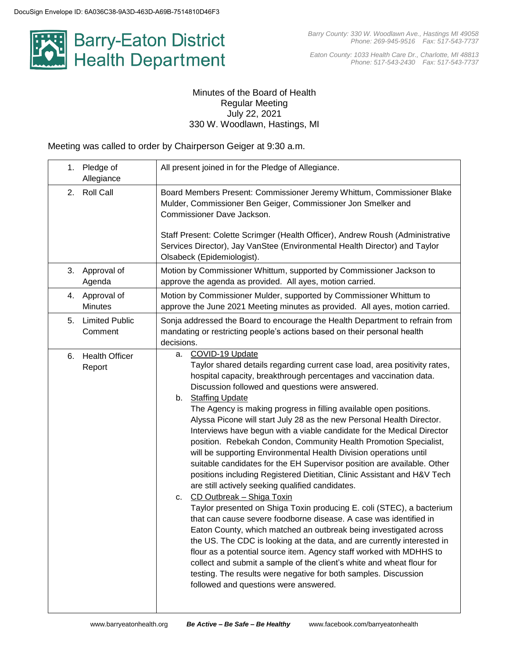

*Eaton County: 1033 Health Care Dr., Charlotte, MI 48813 Phone: 517-543-2430 Fax: 517-543-7737*

## Minutes of the Board of Health Regular Meeting July 22, 2021 330 W. Woodlawn, Hastings, MI

Meeting was called to order by Chairperson Geiger at 9:30 a.m.

| Pledge of<br>1.<br>Allegiance          | All present joined in for the Pledge of Allegiance.                                                                                                                                                                                                                                                                                                                                                                                                                                                                                                                                                                                                                                                                                                                                                                                                                                                                                                                                                                                                                                                                                                                                                                                                                                                                                                                                                                        |
|----------------------------------------|----------------------------------------------------------------------------------------------------------------------------------------------------------------------------------------------------------------------------------------------------------------------------------------------------------------------------------------------------------------------------------------------------------------------------------------------------------------------------------------------------------------------------------------------------------------------------------------------------------------------------------------------------------------------------------------------------------------------------------------------------------------------------------------------------------------------------------------------------------------------------------------------------------------------------------------------------------------------------------------------------------------------------------------------------------------------------------------------------------------------------------------------------------------------------------------------------------------------------------------------------------------------------------------------------------------------------------------------------------------------------------------------------------------------------|
| <b>Roll Call</b><br>2.                 | Board Members Present: Commissioner Jeremy Whittum, Commissioner Blake<br>Mulder, Commissioner Ben Geiger, Commissioner Jon Smelker and<br>Commissioner Dave Jackson.                                                                                                                                                                                                                                                                                                                                                                                                                                                                                                                                                                                                                                                                                                                                                                                                                                                                                                                                                                                                                                                                                                                                                                                                                                                      |
|                                        | Staff Present: Colette Scrimger (Health Officer), Andrew Roush (Administrative<br>Services Director), Jay VanStee (Environmental Health Director) and Taylor<br>Olsabeck (Epidemiologist).                                                                                                                                                                                                                                                                                                                                                                                                                                                                                                                                                                                                                                                                                                                                                                                                                                                                                                                                                                                                                                                                                                                                                                                                                                 |
| Approval of<br>3.<br>Agenda            | Motion by Commissioner Whittum, supported by Commissioner Jackson to<br>approve the agenda as provided. All ayes, motion carried.                                                                                                                                                                                                                                                                                                                                                                                                                                                                                                                                                                                                                                                                                                                                                                                                                                                                                                                                                                                                                                                                                                                                                                                                                                                                                          |
| Approval of<br>4.<br><b>Minutes</b>    | Motion by Commissioner Mulder, supported by Commissioner Whittum to<br>approve the June 2021 Meeting minutes as provided. All ayes, motion carried.                                                                                                                                                                                                                                                                                                                                                                                                                                                                                                                                                                                                                                                                                                                                                                                                                                                                                                                                                                                                                                                                                                                                                                                                                                                                        |
| <b>Limited Public</b><br>5.<br>Comment | Sonja addressed the Board to encourage the Health Department to refrain from<br>mandating or restricting people's actions based on their personal health<br>decisions.                                                                                                                                                                                                                                                                                                                                                                                                                                                                                                                                                                                                                                                                                                                                                                                                                                                                                                                                                                                                                                                                                                                                                                                                                                                     |
| <b>Health Officer</b><br>6.<br>Report  | COVID-19 Update<br>а.<br>Taylor shared details regarding current case load, area positivity rates,<br>hospital capacity, breakthrough percentages and vaccination data.<br>Discussion followed and questions were answered.<br>b. Staffing Update<br>The Agency is making progress in filling available open positions.<br>Alyssa Picone will start July 28 as the new Personal Health Director.<br>Interviews have begun with a viable candidate for the Medical Director<br>position. Rebekah Condon, Community Health Promotion Specialist,<br>will be supporting Environmental Health Division operations until<br>suitable candidates for the EH Supervisor position are available. Other<br>positions including Registered Dietitian, Clinic Assistant and H&V Tech<br>are still actively seeking qualified candidates.<br>CD Outbreak - Shiga Toxin<br>C.<br>Taylor presented on Shiga Toxin producing E. coli (STEC), a bacterium<br>that can cause severe foodborne disease. A case was identified in<br>Eaton County, which matched an outbreak being investigated across<br>the US. The CDC is looking at the data, and are currently interested in<br>flour as a potential source item. Agency staff worked with MDHHS to<br>collect and submit a sample of the client's white and wheat flour for<br>testing. The results were negative for both samples. Discussion<br>followed and questions were answered. |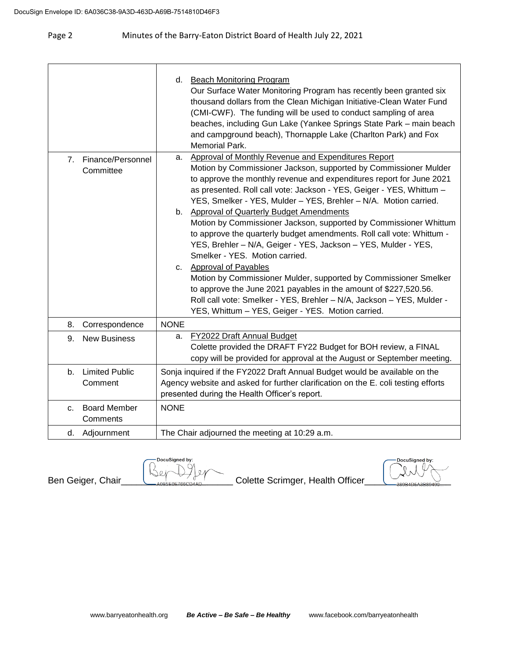|                |                                  | d. Beach Monitoring Program<br>Our Surface Water Monitoring Program has recently been granted six<br>thousand dollars from the Clean Michigan Initiative-Clean Water Fund<br>(CMI-CWF). The funding will be used to conduct sampling of area<br>beaches, including Gun Lake (Yankee Springs State Park - main beach<br>and campground beach), Thornapple Lake (Charlton Park) and Fox<br>Memorial Park.                                                                                                                                                                                                                                                                                                                                                                                                                                                                                                                                            |
|----------------|----------------------------------|----------------------------------------------------------------------------------------------------------------------------------------------------------------------------------------------------------------------------------------------------------------------------------------------------------------------------------------------------------------------------------------------------------------------------------------------------------------------------------------------------------------------------------------------------------------------------------------------------------------------------------------------------------------------------------------------------------------------------------------------------------------------------------------------------------------------------------------------------------------------------------------------------------------------------------------------------|
| 7 <sub>1</sub> | Finance/Personnel<br>Committee   | Approval of Monthly Revenue and Expenditures Report<br>а.<br>Motion by Commissioner Jackson, supported by Commissioner Mulder<br>to approve the monthly revenue and expenditures report for June 2021<br>as presented. Roll call vote: Jackson - YES, Geiger - YES, Whittum -<br>YES, Smelker - YES, Mulder - YES, Brehler - N/A. Motion carried.<br>b. Approval of Quarterly Budget Amendments<br>Motion by Commissioner Jackson, supported by Commissioner Whittum<br>to approve the quarterly budget amendments. Roll call vote: Whittum -<br>YES, Brehler - N/A, Geiger - YES, Jackson - YES, Mulder - YES,<br>Smelker - YES. Motion carried.<br>c. Approval of Payables<br>Motion by Commissioner Mulder, supported by Commissioner Smelker<br>to approve the June 2021 payables in the amount of \$227,520.56.<br>Roll call vote: Smelker - YES, Brehler - N/A, Jackson - YES, Mulder -<br>YES, Whittum - YES, Geiger - YES. Motion carried. |
| 8.             | Correspondence                   | <b>NONE</b>                                                                                                                                                                                                                                                                                                                                                                                                                                                                                                                                                                                                                                                                                                                                                                                                                                                                                                                                        |
| 9.             | <b>New Business</b>              | FY2022 Draft Annual Budget<br>а.<br>Colette provided the DRAFT FY22 Budget for BOH review, a FINAL<br>copy will be provided for approval at the August or September meeting.                                                                                                                                                                                                                                                                                                                                                                                                                                                                                                                                                                                                                                                                                                                                                                       |
| b.             | <b>Limited Public</b><br>Comment | Sonja inquired if the FY2022 Draft Annual Budget would be available on the<br>Agency website and asked for further clarification on the E. coli testing efforts<br>presented during the Health Officer's report.                                                                                                                                                                                                                                                                                                                                                                                                                                                                                                                                                                                                                                                                                                                                   |
| C.             | <b>Board Member</b><br>Comments  | <b>NONE</b>                                                                                                                                                                                                                                                                                                                                                                                                                                                                                                                                                                                                                                                                                                                                                                                                                                                                                                                                        |
|                | d. Adjournment                   | The Chair adjourned the meeting at 10:29 a.m.                                                                                                                                                                                                                                                                                                                                                                                                                                                                                                                                                                                                                                                                                                                                                                                                                                                                                                      |

DocuSigned by: Ben Geiger, Chair\_\_\_\_\_\_\_\_\_\_\_\_\_\_\_\_\_\_\_\_\_\_ Colette Scrimger, Health Officer\_\_\_\_\_\_\_\_\_\_\_\_\_\_\_\_\_  $Q$ 

DocuSigned by: Û